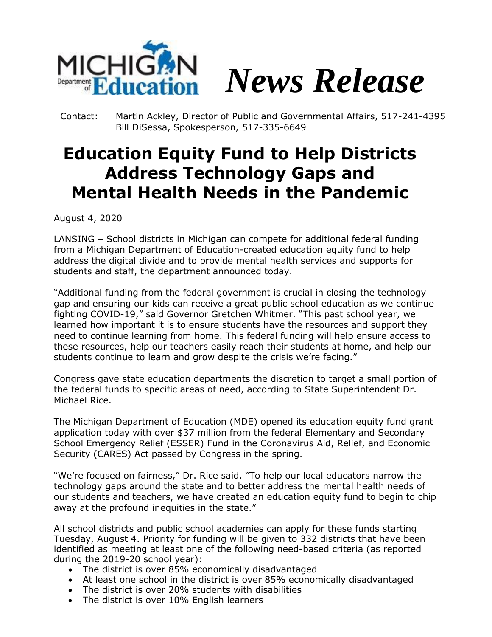

Contact: Martin Ackley, Director of Public and Governmental Affairs, 517-241-4395 Bill DiSessa, Spokesperson, 517-335-6649

## **Education Equity Fund to Help Districts Address Technology Gaps and Mental Health Needs in the Pandemic**

August 4, 2020

LANSING – School districts in Michigan can compete for additional federal funding from a Michigan Department of Education-created education equity fund to help address the digital divide and to provide mental health services and supports for students and staff, the department announced today.

"Additional funding from the federal government is crucial in closing the technology gap and ensuring our kids can receive a great public school education as we continue fighting COVID-19," said Governor Gretchen Whitmer. "This past school year, we learned how important it is to ensure students have the resources and support they need to continue learning from home. This federal funding will help ensure access to these resources, help our teachers easily reach their students at home, and help our students continue to learn and grow despite the crisis we're facing."

Congress gave state education departments the discretion to target a small portion of the federal funds to specific areas of need, according to State Superintendent Dr. Michael Rice.

The Michigan Department of Education (MDE) opened its education equity fund grant application today with over \$37 million from the federal Elementary and Secondary School Emergency Relief (ESSER) Fund in the Coronavirus Aid, Relief, and Economic Security (CARES) Act passed by Congress in the spring.

"We're focused on fairness," Dr. Rice said. "To help our local educators narrow the technology gaps around the state and to better address the mental health needs of our students and teachers, we have created an education equity fund to begin to chip away at the profound inequities in the state."

All school districts and public school academies can apply for these funds starting Tuesday, August 4. Priority for funding will be given to 332 districts that have been identified as meeting at least one of the following need-based criteria (as reported during the 2019-20 school year):

- The district is over 85% economically disadvantaged
- At least one school in the district is over 85% economically disadvantaged
- The district is over 20% students with disabilities
- The district is over 10% English learners